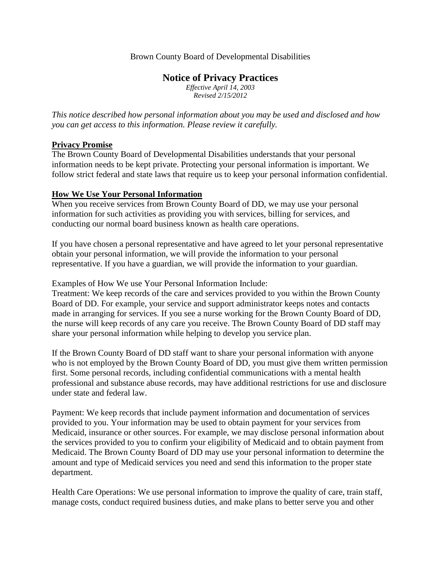### Brown County Board of Developmental Disabilities

## **Notice of Privacy Practices**

*Effective April 14, 2003 Revised 2/15/2012*

*This notice described how personal information about you may be used and disclosed and how you can get access to this information. Please review it carefully.*

### **Privacy Promise**

The Brown County Board of Developmental Disabilities understands that your personal information needs to be kept private. Protecting your personal information is important. We follow strict federal and state laws that require us to keep your personal information confidential.

### **How We Use Your Personal Information**

When you receive services from Brown County Board of DD, we may use your personal information for such activities as providing you with services, billing for services, and conducting our normal board business known as health care operations.

If you have chosen a personal representative and have agreed to let your personal representative obtain your personal information, we will provide the information to your personal representative. If you have a guardian, we will provide the information to your guardian.

Examples of How We use Your Personal Information Include:

Treatment: We keep records of the care and services provided to you within the Brown County Board of DD. For example, your service and support administrator keeps notes and contacts made in arranging for services. If you see a nurse working for the Brown County Board of DD, the nurse will keep records of any care you receive. The Brown County Board of DD staff may share your personal information while helping to develop you service plan.

If the Brown County Board of DD staff want to share your personal information with anyone who is not employed by the Brown County Board of DD, you must give them written permission first. Some personal records, including confidential communications with a mental health professional and substance abuse records, may have additional restrictions for use and disclosure under state and federal law.

Payment: We keep records that include payment information and documentation of services provided to you. Your information may be used to obtain payment for your services from Medicaid, insurance or other sources. For example, we may disclose personal information about the services provided to you to confirm your eligibility of Medicaid and to obtain payment from Medicaid. The Brown County Board of DD may use your personal information to determine the amount and type of Medicaid services you need and send this information to the proper state department.

Health Care Operations: We use personal information to improve the quality of care, train staff, manage costs, conduct required business duties, and make plans to better serve you and other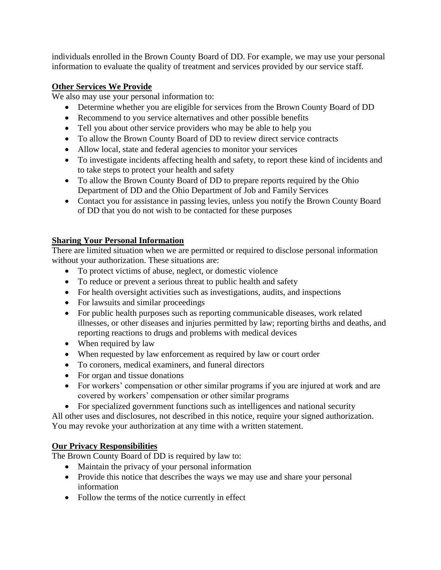individuals enrolled in the Brown County Board of DD. For example, we may use your personal information to evaluate the quality of treatment and services provided by our service staff.

## **Other Services We Provide**

We also may use your personal information to:

- Determine whether you are eligible for services from the Brown County Board of DD
- Recommend to you service alternatives and other possible benefits
- Tell you about other service providers who may be able to help you
- To allow the Brown County Board of DD to review direct service contracts
- Allow local, state and federal agencies to monitor your services
- To investigate incidents affecting health and safety, to report these kind of incidents and to take steps to protect your health and safety
- To allow the Brown County Board of DD to prepare reports required by the Ohio Department of DD and the Ohio Department of Job and Family Services
- Contact you for assistance in passing levies, unless you notify the Brown County Board of DD that you do not wish to be contacted for these purposes

# **Sharing Your Personal Information**

There are limited situation when we are permitted or required to disclose personal information without your authorization. These situations are:

- To protect victims of abuse, neglect, or domestic violence
- To reduce or prevent a serious threat to public health and safety
- For health oversight activities such as investigations, audits, and inspections
- For lawsuits and similar proceedings
- For public health purposes such as reporting communicable diseases, work related illnesses, or other diseases and injuries permitted by law; reporting births and deaths, and reporting reactions to drugs and problems with medical devices
- When required by law
- When requested by law enforcement as required by law or court order
- To coroners, medical examiners, and funeral directors
- For organ and tissue donations
- For workers' compensation or other similar programs if you are injured at work and are covered by workers' compensation or other similar programs
- For specialized government functions such as intelligences and national security

All other uses and disclosures, not described in this notice, require your signed authorization. You may revoke your authorization at any time with a written statement.

## **Our Privacy Responsibilities**

The Brown County Board of DD is required by law to:

- Maintain the privacy of your personal information
- Provide this notice that describes the ways we may use and share your personal information
- Follow the terms of the notice currently in effect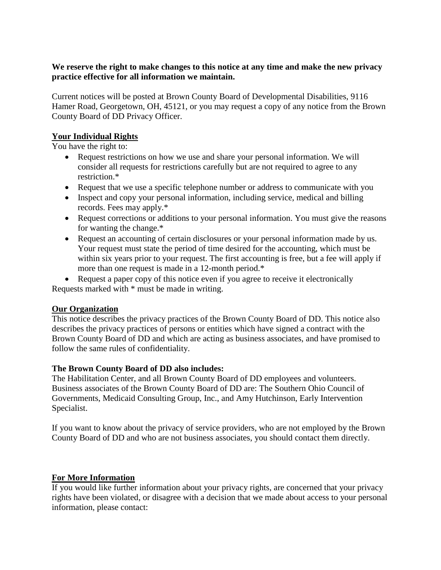### **We reserve the right to make changes to this notice at any time and make the new privacy practice effective for all information we maintain.**

Current notices will be posted at Brown County Board of Developmental Disabilities, 9116 Hamer Road, Georgetown, OH, 45121, or you may request a copy of any notice from the Brown County Board of DD Privacy Officer.

## **Your Individual Rights**

You have the right to:

- Request restrictions on how we use and share your personal information. We will consider all requests for restrictions carefully but are not required to agree to any restriction.\*
- Request that we use a specific telephone number or address to communicate with you
- Inspect and copy your personal information, including service, medical and billing records. Fees may apply.\*
- Request corrections or additions to your personal information. You must give the reasons for wanting the change.\*
- Request an accounting of certain disclosures or your personal information made by us. Your request must state the period of time desired for the accounting, which must be within six years prior to your request. The first accounting is free, but a fee will apply if more than one request is made in a 12-month period.\*

• Request a paper copy of this notice even if you agree to receive it electronically Requests marked with \* must be made in writing.

## **Our Organization**

This notice describes the privacy practices of the Brown County Board of DD. This notice also describes the privacy practices of persons or entities which have signed a contract with the Brown County Board of DD and which are acting as business associates, and have promised to follow the same rules of confidentiality.

## **The Brown County Board of DD also includes:**

The Habilitation Center, and all Brown County Board of DD employees and volunteers. Business associates of the Brown County Board of DD are: The Southern Ohio Council of Governments, Medicaid Consulting Group, Inc., and Amy Hutchinson, Early Intervention Specialist.

If you want to know about the privacy of service providers, who are not employed by the Brown County Board of DD and who are not business associates, you should contact them directly.

### **For More Information**

If you would like further information about your privacy rights, are concerned that your privacy rights have been violated, or disagree with a decision that we made about access to your personal information, please contact: